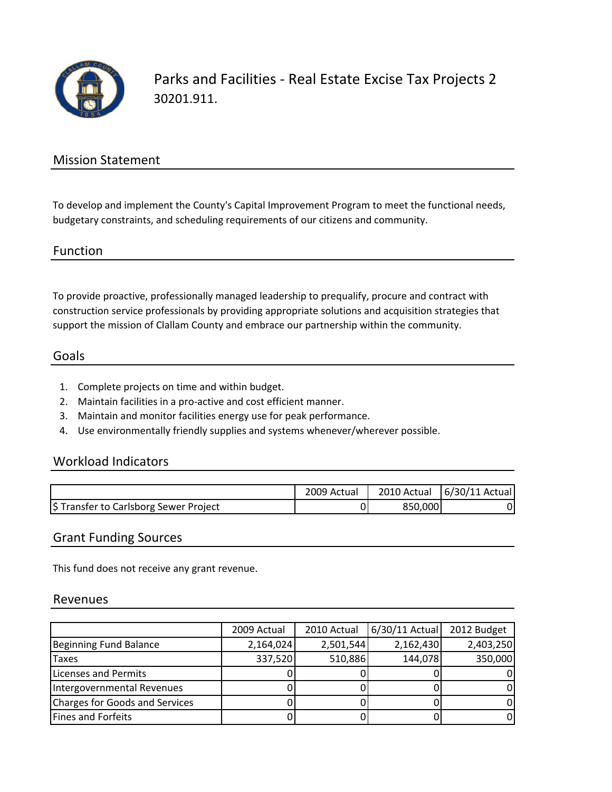

Parks and Facilities ‐ Real Estate Excise Tax Projects 2 30201.911.

### Mission Statement

To develop and implement the County's Capital Improvement Program to meet the functional needs, budgetary constraints, and scheduling requirements of our citizens and community.

Function

To provide proactive, professionally managed leadership to prequalify, procure and contract with construction service professionals by providing appropriate solutions and acquisition strategies that support the mission of Clallam County and embrace our partnership within the community.

#### Goals

- 1. Complete projects on time and within budget.
- 2. Maintain facilities in a pro‐active and cost efficient manner.
- 3. Maintain and monitor facilities energy use for peak performance.
- 4. Use environmentally friendly supplies and systems whenever/wherever possible.

#### Workload Indicators

|                                        | 2009 Actual | 2010 Actual | 6/30/11 Actual |
|----------------------------------------|-------------|-------------|----------------|
| \$ Transfer to Carlsborg Sewer Project |             | 850,000     |                |

#### Grant Funding Sources

This fund does not receive any grant revenue.

#### Revenues

|                                | 2009 Actual | 2010 Actual | $6/30/11$ Actual | 2012 Budget |
|--------------------------------|-------------|-------------|------------------|-------------|
| Beginning Fund Balance         | 2,164,024   | 2,501,544   | 2,162,430        | 2,403,250   |
| Taxes                          | 337,520     | 510,886     | 144,078          | 350,000     |
| Licenses and Permits           |             |             |                  |             |
| Intergovernmental Revenues     |             |             |                  |             |
| Charges for Goods and Services |             |             |                  |             |
| <b>Fines and Forfeits</b>      |             |             |                  |             |